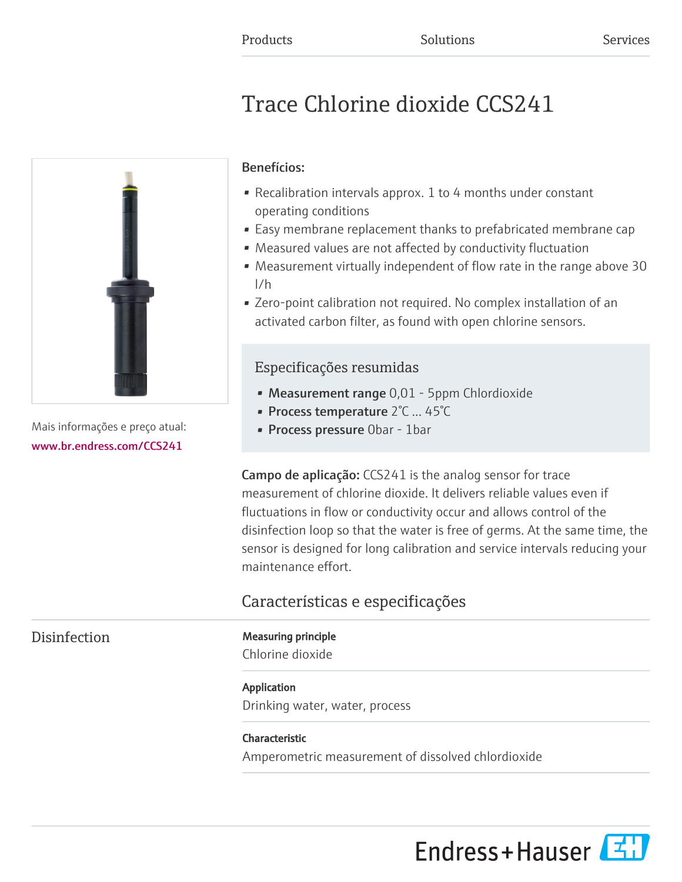# Trace Chlorine dioxide CCS241



Mais informações e preço atual: [www.br.endress.com/CCS241](https://www.br.endress.com/CCS241)

### Benefícios:

- Recalibration intervals approx. 1 to 4 months under constant operating conditions
- Easy membrane replacement thanks to prefabricated membrane cap
- Measured values are not affected by conductivity fluctuation
- Measurement virtually independent of flow rate in the range above 30 l/h
- Zero-point calibration not required. No complex installation of an activated carbon filter, as found with open chlorine sensors.

## Especificações resumidas

- Measurement range 0,01 5ppm Chlordioxide
- Process temperature 2°C ... 45°C
- Process pressure 0bar 1bar

Campo de aplicação: CCS241 is the analog sensor for trace measurement of chlorine dioxide. It delivers reliable values even if fluctuations in flow or conductivity occur and allows control of the disinfection loop so that the water is free of germs. At the same time, the sensor is designed for long calibration and service intervals reducing your maintenance effort.

# Características e especificações

#### Disinfection Measuring principle

Chlorine dioxide

### Application

Drinking water, water, process

#### Characteristic

Amperometric measurement of dissolved chlordioxide